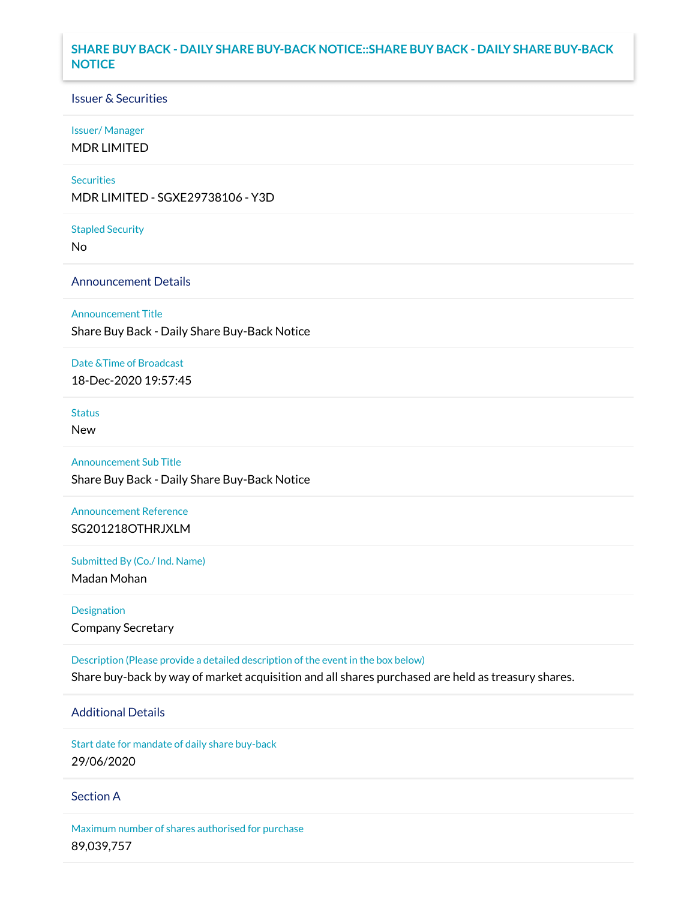## **SHARE BUY BACK - DAILY SHARE BUY-BACK NOTICE::SHARE BUY BACK - DAILY SHARE BUY-BACK NOTICE**

## Issuer & Securities

### Issuer/ Manager

MDR LIMITED

### **Securities**

MDR LIMITED - SGXE29738106 - Y3D

#### Stapled Security

No

## Announcement Details

### Announcement Title

Share Buy Back - Daily Share Buy-Back Notice

### Date &Time of Broadcast

18-Dec-2020 19:57:45

# Status

New

# Announcement Sub Title

Share Buy Back - Daily Share Buy-Back Notice

# Announcement Reference SG201218OTHRJXLM

Submitted By (Co./ Ind. Name)

Madan Mohan

# Designation Company Secretary

Description (Please provide a detailed description of the event in the box below) Share buy-back by way of market acquisition and all shares purchased are held as treasury shares.

## Additional Details

Start date for mandate of daily share buy-back 29/06/2020

## Section A

Maximum number of shares authorised for purchase 89,039,757